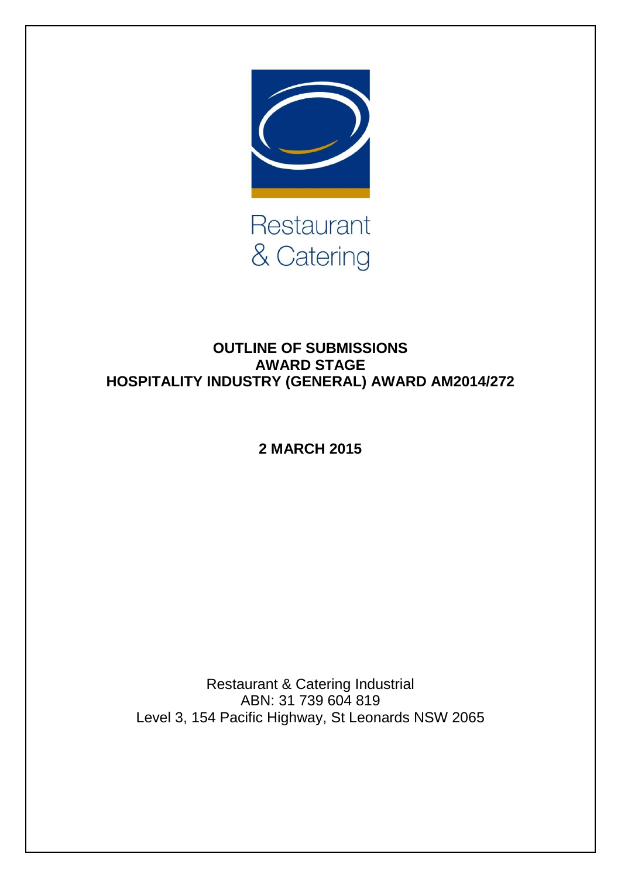

## **OUTLINE OF SUBMISSIONS AWARD STAGE HOSPITALITY INDUSTRY (GENERAL) AWARD AM2014/272**

**2 MARCH 2015**

Restaurant & Catering Industrial ABN: 31 739 604 819 Level 3, 154 Pacific Highway, St Leonards NSW 2065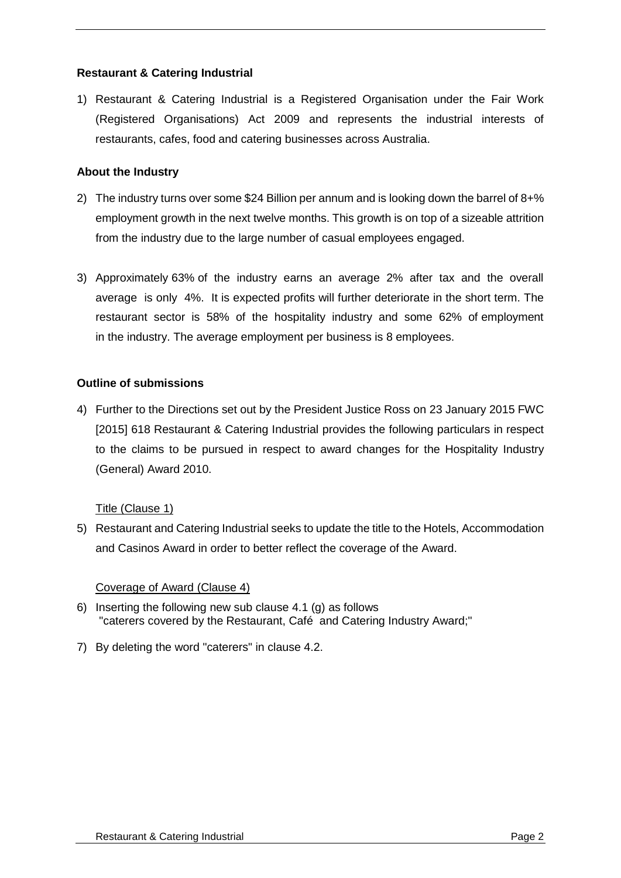### **Restaurant & Catering Industrial**

1) Restaurant & Catering Industrial is a Registered Organisation under the Fair Work (Registered Organisations) Act 2009 and represents the industrial interests of restaurants, cafes, food and catering businesses across Australia.

#### **About the Industry**

- 2) The industry turns over some \$24 Billion per annum and is looking down the barrel of 8+% employment growth in the next twelve months. This growth is on top of a sizeable attrition from the industry due to the large number of casual employees engaged.
- 3) Approximately 63% of the industry earns an average 2% after tax and the overall average is only 4%. It is expected profits will further deteriorate in the short term. The restaurant sector is 58% of the hospitality industry and some 62% of employment in the industry. The average employment per business is 8 employees.

#### **Outline of submissions**

4) Further to the Directions set out by the President Justice Ross on 23 January 2015 FWC [2015] 618 Restaurant & Catering Industrial provides the following particulars in respect to the claims to be pursued in respect to award changes for the Hospitality Industry (General) Award 2010.

#### Title (Clause 1)

5) Restaurant and Catering Industrial seeks to update the title to the Hotels, Accommodation and Casinos Award in order to better reflect the coverage of the Award.

#### Coverage of Award (Clause 4)

- 6) Inserting the following new sub clause 4.1 (g) as follows "caterers covered by the Restaurant, Café and Catering Industry Award;"
- 7) By deleting the word "caterers" in clause 4.2.